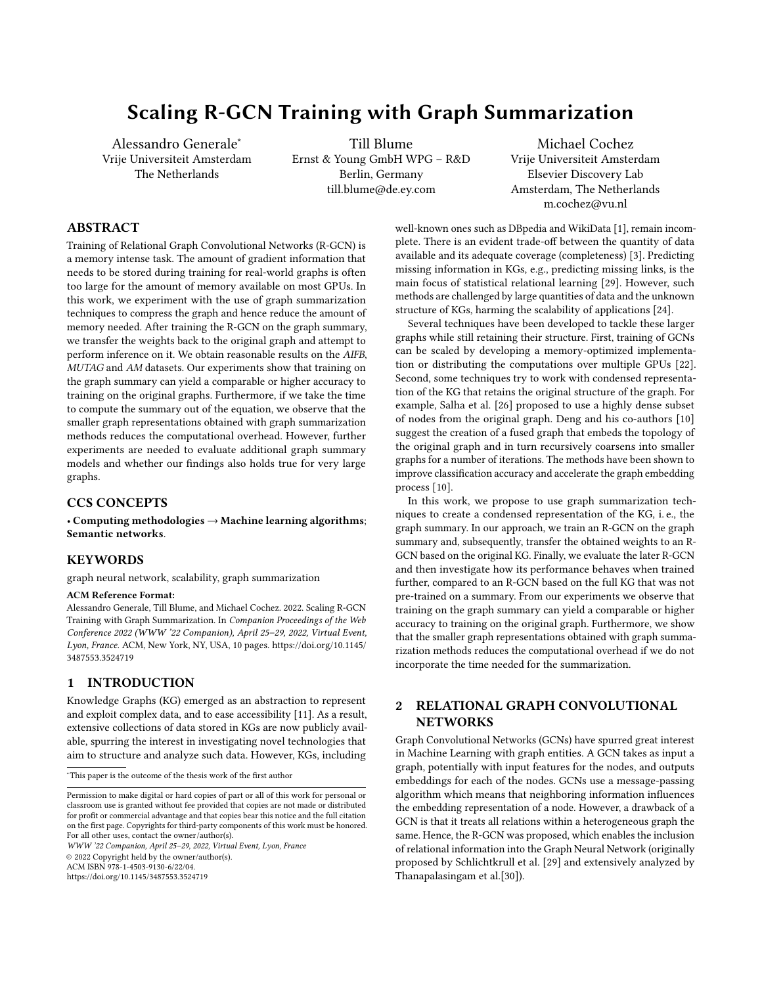# Scaling R-GCN Training with Graph Summarization

Alessandro Generale<sup>∗</sup> Vrije Universiteit Amsterdam The Netherlands

[Till Blume](https://orcid.org/0000-0001-6970-9489) Ernst & Young GmbH WPG – R&D Berlin, Germany till.blume@de.ey.com

[Michael Cochez](https://orcid.org/0000-0001-5726-4638) Vrije Universiteit Amsterdam Elsevier Discovery Lab Amsterdam, The Netherlands m.cochez@vu.nl

# ABSTRACT

Training of Relational Graph Convolutional Networks (R-GCN) is a memory intense task. The amount of gradient information that needs to be stored during training for real-world graphs is often too large for the amount of memory available on most GPUs. In this work, we experiment with the use of graph summarization techniques to compress the graph and hence reduce the amount of memory needed. After training the R-GCN on the graph summary, we transfer the weights back to the original graph and attempt to perform inference on it. We obtain reasonable results on the AIFB, MUTAG and AM datasets. Our experiments show that training on the graph summary can yield a comparable or higher accuracy to training on the original graphs. Furthermore, if we take the time to compute the summary out of the equation, we observe that the smaller graph representations obtained with graph summarization methods reduces the computational overhead. However, further experiments are needed to evaluate additional graph summary models and whether our findings also holds true for very large graphs.

#### CCS CONCEPTS

• Computing methodologies → Machine learning algorithms; Semantic networks.

#### **KEYWORDS**

graph neural network, scalability, graph summarization

#### ACM Reference Format:

Alessandro Generale, Till Blume, and Michael Cochez. 2022. Scaling R-GCN Training with Graph Summarization. In Companion Proceedings of the Web Conference 2022 (WWW '22 Companion), April 25–29, 2022, Virtual Event, Lyon, France. ACM, New York, NY, USA, [10](#page-9-0) pages. [https://doi.org/10.1145/](https://doi.org/10.1145/3487553.3524719) [3487553.3524719](https://doi.org/10.1145/3487553.3524719)

### 1 INTRODUCTION

Knowledge Graphs (KG) emerged as an abstraction to represent and exploit complex data, and to ease accessibility [\[11\]](#page-7-0). As a result, extensive collections of data stored in KGs are now publicly available, spurring the interest in investigating novel technologies that aim to structure and analyze such data. However, KGs, including

<sup>∗</sup>This paper is the outcome of the thesis work of the first author

WWW '22 Companion, April 25–29, 2022, Virtual Event, Lyon, France © 2022 Copyright held by the owner/author(s).

ACM ISBN 978-1-4503-9130-6/22/04.

<https://doi.org/10.1145/3487553.3524719>

well-known ones such as DBpedia and WikiData [\[1\]](#page-7-1), remain incomplete. There is an evident trade-off between the quantity of data available and its adequate coverage (completeness) [\[3\]](#page-7-2). Predicting missing information in KGs, e.g., predicting missing links, is the main focus of statistical relational learning [\[29\]](#page-7-3). However, such methods are challenged by large quantities of data and the unknown structure of KGs, harming the scalability of applications [\[24\]](#page-7-4).

Several techniques have been developed to tackle these larger graphs while still retaining their structure. First, training of GCNs can be scaled by developing a memory-optimized implementation or distributing the computations over multiple GPUs [\[22\]](#page-7-5). Second, some techniques try to work with condensed representation of the KG that retains the original structure of the graph. For example, Salha et al. [\[26\]](#page-7-6) proposed to use a highly dense subset of nodes from the original graph. Deng and his co-authors [\[10\]](#page-7-7) suggest the creation of a fused graph that embeds the topology of the original graph and in turn recursively coarsens into smaller graphs for a number of iterations. The methods have been shown to improve classification accuracy and accelerate the graph embedding process [\[10\]](#page-7-7).

In this work, we propose to use graph summarization techniques to create a condensed representation of the KG, i. e., the graph summary. In our approach, we train an R-GCN on the graph summary and, subsequently, transfer the obtained weights to an R-GCN based on the original KG. Finally, we evaluate the later R-GCN and then investigate how its performance behaves when trained further, compared to an R-GCN based on the full KG that was not pre-trained on a summary. From our experiments we observe that training on the graph summary can yield a comparable or higher accuracy to training on the original graph. Furthermore, we show that the smaller graph representations obtained with graph summarization methods reduces the computational overhead if we do not incorporate the time needed for the summarization.

# 2 RELATIONAL GRAPH CONVOLUTIONAL NETWORKS

Graph Convolutional Networks (GCNs) have spurred great interest in Machine Learning with graph entities. A GCN takes as input a graph, potentially with input features for the nodes, and outputs embeddings for each of the nodes. GCNs use a message-passing algorithm which means that neighboring information influences the embedding representation of a node. However, a drawback of a GCN is that it treats all relations within a heterogeneous graph the same. Hence, the R-GCN was proposed, which enables the inclusion of relational information into the Graph Neural Network (originally proposed by Schlichtkrull et al. [\[29\]](#page-7-3) and extensively analyzed by Thanapalasingam et al.[\[30\]](#page-7-8)).

Permission to make digital or hard copies of part or all of this work for personal or classroom use is granted without fee provided that copies are not made or distributed for profit or commercial advantage and that copies bear this notice and the full citation on the first page. Copyrights for third-party components of this work must be honored. For all other uses, contact the owner/author(s).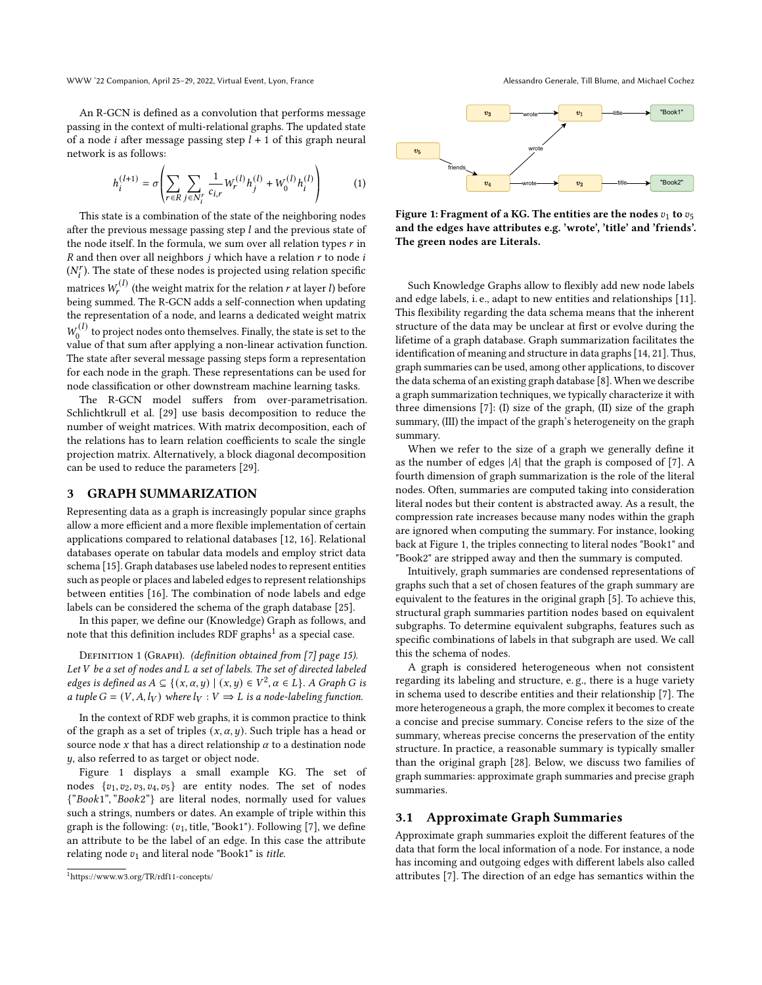WWW '22 Companion, April 25–29, 2022, Virtual Event, Lyon, France Alessandro Generale, Till Blume, and Michael Cochez

An R-GCN is defined as a convolution that performs message passing in the context of multi-relational graphs. The updated state of a node *i* after message passing step  $l + 1$  of this graph neural network is as follows:

$$
h_i^{(l+1)} = \sigma \left( \sum_{r \in R} \sum_{j \in N_i^r} \frac{1}{c_{i,r}} W_r^{(l)} h_j^{(l)} + W_0^{(l)} h_i^{(l)} \right) \tag{1}
$$

« ¬ This state is a combination of the state of the neighboring nodes after the previous message passing step  $l$  and the previous state of the node itself. In the formula, we sum over all relation types  $r$  in  $R$  and then over all neighbors  $j$  which have a relation  $r$  to node  $i$  $(N_i^r)$ . The state of these nodes is projected using relation specific matrices  $W_r^{(l)}$  (the weight matrix for the relation  $r$  at layer *l*) before being summed. The R-GCN adds a self-connection when updating the representation of a node, and learns a dedicated weight matrix  $W_0^{(l)}$  to project nodes onto themselves. Finally, the state is set to the value of that sum after applying a non-linear activation function. The state after several message passing steps form a representation for each node in the graph. These representations can be used for node classification or other downstream machine learning tasks.

The R-GCN model suffers from over-parametrisation. Schlichtkrull et al. [\[29\]](#page-7-3) use basis decomposition to reduce the number of weight matrices. With matrix decomposition, each of the relations has to learn relation coefficients to scale the single projection matrix. Alternatively, a block diagonal decomposition can be used to reduce the parameters [\[29\]](#page-7-3).

#### <span id="page-1-2"></span>3 GRAPH SUMMARIZATION

Representing data as a graph is increasingly popular since graphs allow a more efficient and a more flexible implementation of certain applications compared to relational databases [\[12,](#page-7-9) [16\]](#page-7-10). Relational databases operate on tabular data models and employ strict data schema [\[15\]](#page-7-11). Graph databases use labeled nodes to represent entities such as people or places and labeled edges to represent relationships between entities [\[16\]](#page-7-10). The combination of node labels and edge labels can be considered the schema of the graph database [\[25\]](#page-7-12).

In this paper, we define our (Knowledge) Graph as follows, and note that this definition includes RDF graphs<sup>[1](#page-1-0)</sup> as a special case.

DEFINITION 1 (GRAPH). (definition obtained from [\[7\]](#page-7-13) page 15). Let  $V$  be a set of nodes and  $L$  a set of labels. The set of directed labeled edges is defined as  $A \subseteq \{(x, \alpha, y) | (x, y) \in V^2, \alpha \in L\}$ . A Graph G is a tuple  $G = (V, A, l_V)$  where  $l_V : V \Rightarrow L$  is a node-labeling function.

In the context of RDF web graphs, it is common practice to think of the graph as a set of triples  $(x, \alpha, y)$ . Such triple has a head or source node  $x$  that has a direct relationship  $\alpha$  to a destination node  $y$ , also referred to as target or object node.

[Figure 1](#page-1-1) displays a small example KG. The set of nodes  $\{v_1, v_2, v_3, v_4, v_5\}$  are entity nodes. The set of nodes {"Book1","Book2"} are literal nodes, normally used for values such a strings, numbers or dates. An example of triple within this graph is the following:  $(v_1,$  title, "Book1"). Following [\[7\]](#page-7-13), we define an attribute to be the label of an edge. In this case the attribute relating node  $v_1$  and literal node "Book1" is title.

<span id="page-1-0"></span>

<span id="page-1-1"></span>

Figure 1: Fragment of a KG. The entities are the nodes  $v_1$  to  $v_5$ and the edges have attributes e.g. 'wrote', 'title' and 'friends'. The green nodes are Literals.

Such Knowledge Graphs allow to flexibly add new node labels and edge labels, i. e., adapt to new entities and relationships [\[11\]](#page-7-0). This flexibility regarding the data schema means that the inherent structure of the data may be unclear at first or evolve during the lifetime of a graph database. Graph summarization facilitates the identification of meaning and structure in data graphs [\[14,](#page-7-14) [21\]](#page-7-15). Thus, graph summaries can be used, among other applications, to discover the data schema of an existing graph database [\[8\]](#page-7-16). When we describe a graph summarization techniques, we typically characterize it with three dimensions [\[7\]](#page-7-13): (I) size of the graph, (II) size of the graph summary, (III) the impact of the graph's heterogeneity on the graph summary.

When we refer to the size of a graph we generally define it as the number of edges  $|A|$  that the graph is composed of [\[7\]](#page-7-13). A fourth dimension of graph summarization is the role of the literal nodes. Often, summaries are computed taking into consideration literal nodes but their content is abstracted away. As a result, the compression rate increases because many nodes within the graph are ignored when computing the summary. For instance, looking back at [Figure 1,](#page-1-1) the triples connecting to literal nodes "Book1" and "Book2" are stripped away and then the summary is computed.

Intuitively, graph summaries are condensed representations of graphs such that a set of chosen features of the graph summary are equivalent to the features in the original graph [\[5\]](#page-7-17). To achieve this, structural graph summaries partition nodes based on equivalent subgraphs. To determine equivalent subgraphs, features such as specific combinations of labels in that subgraph are used. We call this the schema of nodes.

A graph is considered heterogeneous when not consistent regarding its labeling and structure, e. g., there is a huge variety in schema used to describe entities and their relationship [\[7\]](#page-7-13). The more heterogeneous a graph, the more complex it becomes to create a concise and precise summary. Concise refers to the size of the summary, whereas precise concerns the preservation of the entity structure. In practice, a reasonable summary is typically smaller than the original graph [\[28\]](#page-7-18). Below, we discuss two families of graph summaries: approximate graph summaries and precise graph summaries.

#### 3.1 Approximate Graph Summaries

Approximate graph summaries exploit the different features of the data that form the local information of a node. For instance, a node has incoming and outgoing edges with different labels also called attributes [\[7\]](#page-7-13). The direction of an edge has semantics within the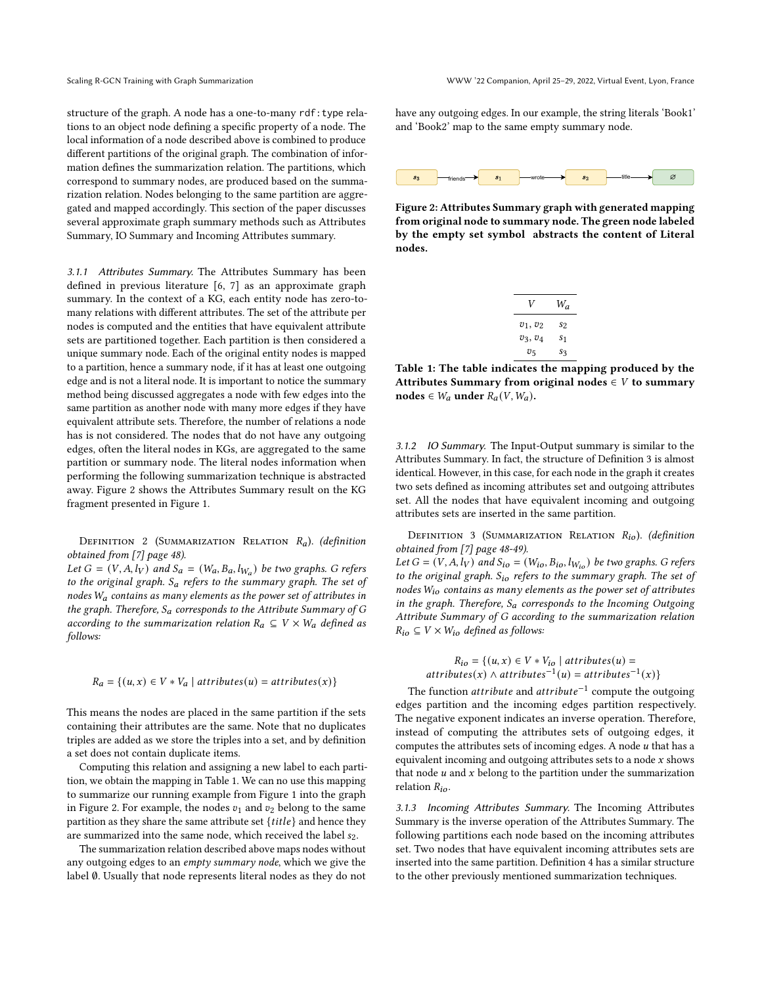structure of the graph. A node has a one-to-many rdf:type relations to an object node defining a specific property of a node. The local information of a node described above is combined to produce different partitions of the original graph. The combination of information defines the summarization relation. The partitions, which correspond to summary nodes, are produced based on the summarization relation. Nodes belonging to the same partition are aggregated and mapped accordingly. This section of the paper discusses several approximate graph summary methods such as Attributes Summary, IO Summary and Incoming Attributes summary.

<span id="page-2-4"></span>3.1.1 Attributes Summary. The Attributes Summary has been defined in previous literature [\[6,](#page-7-19) [7\]](#page-7-13) as an approximate graph summary. In the context of a KG, each entity node has zero-tomany relations with different attributes. The set of the attribute per nodes is computed and the entities that have equivalent attribute sets are partitioned together. Each partition is then considered a unique summary node. Each of the original entity nodes is mapped to a partition, hence a summary node, if it has at least one outgoing edge and is not a literal node. It is important to notice the summary method being discussed aggregates a node with few edges into the same partition as another node with many more edges if they have equivalent attribute sets. Therefore, the number of relations a node has is not considered. The nodes that do not have any outgoing edges, often the literal nodes in KGs, are aggregated to the same partition or summary node. The literal nodes information when performing the following summarization technique is abstracted away. [Figure 2](#page-2-0) shows the Attributes Summary result on the KG fragment presented in [Figure 1.](#page-1-1)

DEFINITION 2 (SUMMARIZATION RELATION  $R_a$ ). (definition obtained from [\[7\]](#page-7-13) page 48).

Let  $G = (V, A, I_V)$  and  $S_a = (W_a, B_a, I_{W_a})$  be two graphs. G refers to the original graph.  $S_a$  refers to the summary graph. The set of nodes  $W_a$  contains as many elements as the power set of attributes in the graph. Therefore,  $S_a$  corresponds to the Attribute Summary of G according to the summarization relation  $R_a \subseteq V \times W_a$  defined as follows:

$$
R_a = \{(u, x) \in V * V_a \mid attributes(u) = attributes(x)\}\
$$

This means the nodes are placed in the same partition if the sets containing their attributes are the same. Note that no duplicates triples are added as we store the triples into a set, and by definition a set does not contain duplicate items.

Computing this relation and assigning a new label to each partition, we obtain the mapping in [Table 1.](#page-2-1) We can no use this mapping to summarize our running example from [Figure 1](#page-1-1) into the graph in [Figure 2.](#page-2-0) For example, the nodes  $v_1$  and  $v_2$  belong to the same partition as they share the same attribute set  ${title}$  and hence they are summarized into the same node, which received the label  $s_2$ .

The summarization relation described above maps nodes without any outgoing edges to an empty summary node, which we give the label ∅. Usually that node represents literal nodes as they do not have any outgoing edges. In our example, the string literals 'Book1' and 'Book2' map to the same empty summary node.

<span id="page-2-0"></span>

Figure 2: Attributes Summary graph with generated mapping from original node to summary node. The green node labeled by the empty set symbol abstracts the content of Literal nodes.

| V          | $W_a$          |
|------------|----------------|
| $v_1, v_2$ | S <sub>2</sub> |
| $v_3, v_4$ | S <sub>1</sub> |
| $v_{5}$    | S3             |

<span id="page-2-1"></span>Table 1: The table indicates the mapping produced by the Attributes Summary from original nodes  $\in V$  to summary nodes  $\in W_a$  under  $R_a(V, W_a)$ .

3.1.2 IO Summary. The Input-Output summary is similar to the Attributes Summary. In fact, the structure of [Definition 3](#page-2-2) is almost identical. However, in this case, for each node in the graph it creates two sets defined as incoming attributes set and outgoing attributes set. All the nodes that have equivalent incoming and outgoing attributes sets are inserted in the same partition.

<span id="page-2-2"></span>DEFINITION 3 (SUMMARIZATION RELATION  $R_{io}$ ). (definition obtained from [\[7\]](#page-7-13) page 48-49). Let  $G = (V, A, l_V)$  and  $S_{io} = (W_{io}, B_{io}, l_{W_{io}})$  be two graphs. G refers to the original graph.  $S_{io}$  refers to the summary graph. The set of nodes  $W_{io}$  contains as many elements as the power set of attributes in the graph. Therefore,  $S_a$  corresponds to the Incoming Outgoing Attribute Summary of G according to the summarization relation  $R_{io} \subseteq V \times W_{io}$  defined as follows:

$$
R_{io} = \{(u, x) \in V * V_{io} \mid attributes(u) =
$$
  
attributes(x)  $\land$  attributes<sup>-1</sup>(u) = attributes<sup>-1</sup>(x)\}

The function *attribute* and *attribute*<sup>-1</sup> compute the outgoing edges partition and the incoming edges partition respectively. The negative exponent indicates an inverse operation. Therefore, instead of computing the attributes sets of outgoing edges, it computes the attributes sets of incoming edges. A node  $u$  that has a equivalent incoming and outgoing attributes sets to a node  $x$  shows that node  $u$  and  $x$  belong to the partition under the summarization relation  $R_{io}$ .

<span id="page-2-3"></span>3.1.3 Incoming Attributes Summary. The Incoming Attributes Summary is the inverse operation of the Attributes Summary. The following partitions each node based on the incoming attributes set. Two nodes that have equivalent incoming attributes sets are inserted into the same partition. [Definition 4](#page-2-3) has a similar structure to the other previously mentioned summarization techniques.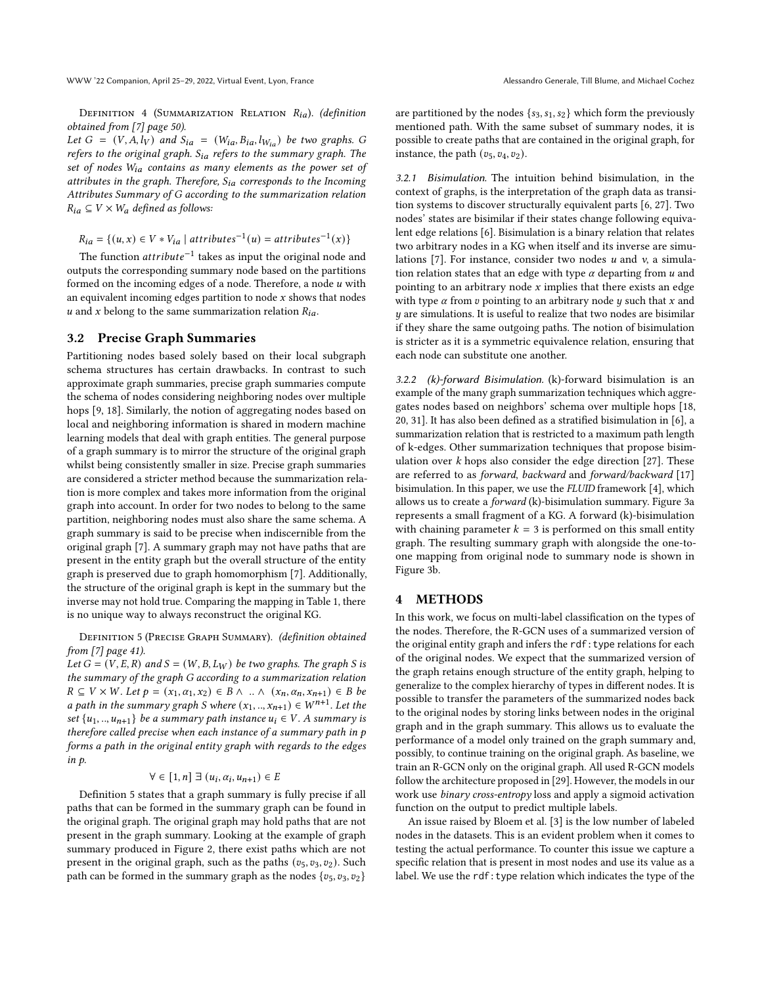DEFINITION 4 (SUMMARIZATION RELATION  $R_{ia}$ ). (definition obtained from [\[7\]](#page-7-13) page 50).

Let  $G = (V, A, l_V)$  and  $S_{ia} = (W_{ia}, B_{ia}, l_{W_{ia}})$  be two graphs. G refers to the original graph.  $S_{ia}$  refers to the summary graph. The set of nodes  $W_{ia}$  contains as many elements as the power set of attributes in the graph. Therefore,  $S_{ia}$  corresponds to the Incoming Attributes Summary of G according to the summarization relation  $R_{ia} \subseteq V \times W_a$  defined as follows:

$$
R_{ia} = \{(u, x) \in V * V_{ia} \mid attributes^{-1}(u) = attributes^{-1}(x)\}\
$$

The function *attribute*<sup>-1</sup> takes as input the original node and outputs the corresponding summary node based on the partitions formed on the incoming edges of a node. Therefore, a node  $u$  with an equivalent incoming edges partition to node  $x$  shows that nodes u and x belong to the same summarization relation  $R_{ia}$ .

#### 3.2 Precise Graph Summaries

Partitioning nodes based solely based on their local subgraph schema structures has certain drawbacks. In contrast to such approximate graph summaries, precise graph summaries compute the schema of nodes considering neighboring nodes over multiple hops [\[9,](#page-7-20) [18\]](#page-7-21). Similarly, the notion of aggregating nodes based on local and neighboring information is shared in modern machine learning models that deal with graph entities. The general purpose of a graph summary is to mirror the structure of the original graph whilst being consistently smaller in size. Precise graph summaries are considered a stricter method because the summarization relation is more complex and takes more information from the original graph into account. In order for two nodes to belong to the same partition, neighboring nodes must also share the same schema. A graph summary is said to be precise when indiscernible from the original graph [\[7\]](#page-7-13). A summary graph may not have paths that are present in the entity graph but the overall structure of the entity graph is preserved due to graph homomorphism [\[7\]](#page-7-13). Additionally, the structure of the original graph is kept in the summary but the inverse may not hold true. Comparing the mapping in [Table 1,](#page-2-1) there is no unique way to always reconstruct the original KG.

<span id="page-3-0"></span>DEFINITION 5 (PRECISE GRAPH SUMMARY). (definition obtained from [\[7\]](#page-7-13) page 41).

Let  $G = (V, E, R)$  and  $S = (W, B, L_W)$  be two graphs. The graph S is the summary of the graph G according to a summarization relation  $R \subseteq V \times W$ . Let  $p = (x_1, \alpha_1, x_2) \in B \wedge ... \wedge (x_n, \alpha_n, x_{n+1}) \in B$  be a path in the summary graph S where  $(x_1, ..., x_{n+1}) \in W^{n+1}$ . Let the set  $\{u_1, ..., u_{n+1}\}$  be a summary path instance  $u_i \in V$ . A summary is therefore called precise when each instance of a summary path in p forms a path in the original entity graph with regards to the edges in p.

# $\forall \in [1, n] \exists (u_i, \alpha_i, u_{n+1}) \in E$

[Definition 5](#page-3-0) states that a graph summary is fully precise if all paths that can be formed in the summary graph can be found in the original graph. The original graph may hold paths that are not present in the graph summary. Looking at the example of graph summary produced in [Figure 2,](#page-2-0) there exist paths which are not present in the original graph, such as the paths  $(v_5, v_3, v_2)$ . Such path can be formed in the summary graph as the nodes  $\{v_5, v_3, v_2\}$  are partitioned by the nodes  $\{s_3, s_1, s_2\}$  which form the previously mentioned path. With the same subset of summary nodes, it is possible to create paths that are contained in the original graph, for instance, the path  $(v_5, v_4, v_2)$ .

3.2.1 Bisimulation. The intuition behind bisimulation, in the context of graphs, is the interpretation of the graph data as transition systems to discover structurally equivalent parts [\[6,](#page-7-19) [27\]](#page-7-22). Two nodes' states are bisimilar if their states change following equivalent edge relations [\[6\]](#page-7-19). Bisimulation is a binary relation that relates two arbitrary nodes in a KG when itself and its inverse are simu-lations [\[7\]](#page-7-13). For instance, consider two nodes  $u$  and  $v$ , a simulation relation states that an edge with type  $\alpha$  departing from  $u$  and pointing to an arbitrary node  $x$  implies that there exists an edge with type  $\alpha$  from  $v$  pointing to an arbitrary node  $y$  such that  $x$  and  $y$  are simulations. It is useful to realize that two nodes are bisimilar if they share the same outgoing paths. The notion of bisimulation is stricter as it is a symmetric equivalence relation, ensuring that each node can substitute one another.

<span id="page-3-1"></span>3.2.2 (k)-forward Bisimulation. (k)-forward bisimulation is an example of the many graph summarization techniques which aggregates nodes based on neighbors' schema over multiple hops [\[18,](#page-7-21) [20,](#page-7-23) [31\]](#page-7-24). It has also been defined as a stratified bisimulation in [\[6\]](#page-7-19), a summarization relation that is restricted to a maximum path length of k-edges. Other summarization techniques that propose bisimulation over  $k$  hops also consider the edge direction [\[27\]](#page-7-22). These are referred to as forward, backward and forward/backward [\[17\]](#page-7-25) bisimulation. In this paper, we use the FLUID framework [\[4\]](#page-7-26), which allows us to create a *forward*  $(k)$ -bisimulation summary. [Figure 3a](#page-4-0) represents a small fragment of a KG. A forward (k)-bisimulation with chaining parameter  $k = 3$  is performed on this small entity graph. The resulting summary graph with alongside the one-toone mapping from original node to summary node is shown in [Figure 3b.](#page-4-0)

#### 4 METHODS

In this work, we focus on multi-label classification on the types of the nodes. Therefore, the R-GCN uses of a summarized version of the original entity graph and infers the rdf:type relations for each of the original nodes. We expect that the summarized version of the graph retains enough structure of the entity graph, helping to generalize to the complex hierarchy of types in different nodes. It is possible to transfer the parameters of the summarized nodes back to the original nodes by storing links between nodes in the original graph and in the graph summary. This allows us to evaluate the performance of a model only trained on the graph summary and, possibly, to continue training on the original graph. As baseline, we train an R-GCN only on the original graph. All used R-GCN models follow the architecture proposed in [\[29\]](#page-7-3). However, the models in our work use binary cross-entropy loss and apply a sigmoid activation function on the output to predict multiple labels.

An issue raised by Bloem et al. [\[3\]](#page-7-2) is the low number of labeled nodes in the datasets. This is an evident problem when it comes to testing the actual performance. To counter this issue we capture a specific relation that is present in most nodes and use its value as a label. We use the rdf:type relation which indicates the type of the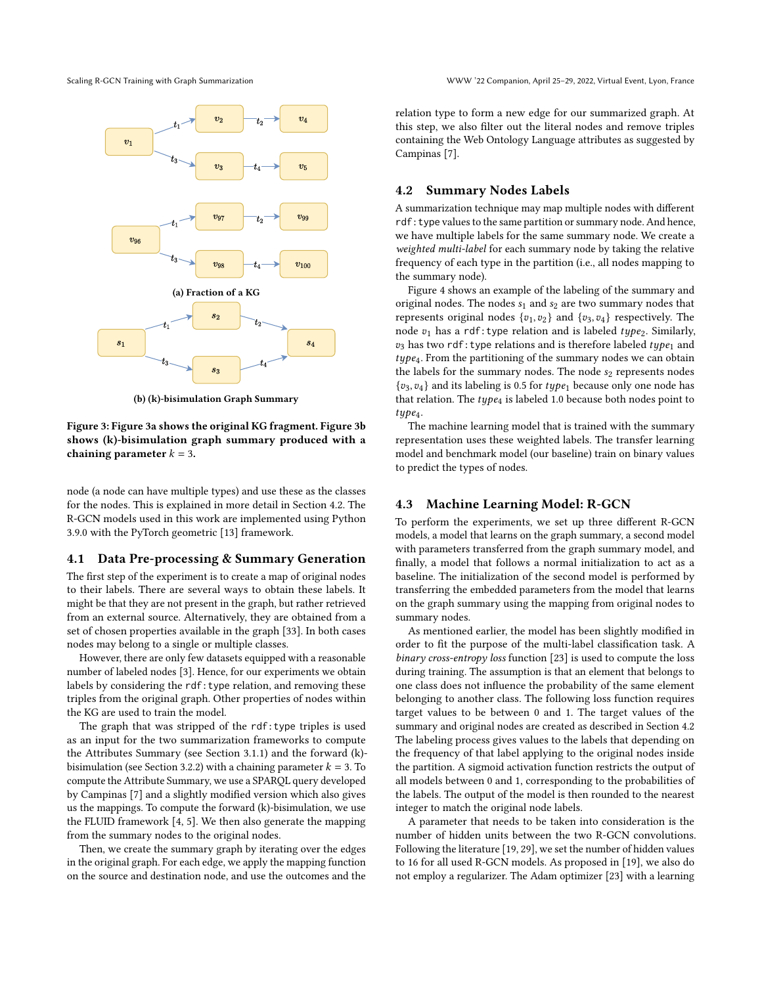<span id="page-4-0"></span>Scaling R-GCN Training with Graph Summarization WWW '22 Companion, April 25–29, 2022, Virtual Event, Lyon, France



(b) (k)-bisimulation Graph Summary

#### Figure 3: [Figure 3a](#page-4-0) shows the original KG fragment. [Figure 3b](#page-4-0) shows (k)-bisimulation graph summary produced with a chaining parameter  $k = 3$ .

node (a node can have multiple types) and use these as the classes for the nodes. This is explained in more detail in [Section 4.2.](#page-4-1) The R-GCN models used in this work are implemented using Python 3.9.0 with the PyTorch geometric [\[13\]](#page-7-27) framework.

#### 4.1 Data Pre-processing & Summary Generation

The first step of the experiment is to create a map of original nodes to their labels. There are several ways to obtain these labels. It might be that they are not present in the graph, but rather retrieved from an external source. Alternatively, they are obtained from a set of chosen properties available in the graph [\[33\]](#page-7-28). In both cases nodes may belong to a single or multiple classes.

However, there are only few datasets equipped with a reasonable number of labeled nodes [\[3\]](#page-7-2). Hence, for our experiments we obtain labels by considering the rdf: type relation, and removing these triples from the original graph. Other properties of nodes within the KG are used to train the model.

The graph that was stripped of the rdf:type triples is used as an input for the two summarization frameworks to compute the Attributes Summary (see [Section 3.1.1\)](#page-2-4) and the forward (k)- bisimulation (see [Section 3.2.2\)](#page-3-1) with a chaining parameter  $k = 3$ . To compute the Attribute Summary, we use a SPARQL query developed by Campinas [\[7\]](#page-7-13) and a slightly modified version which also gives us the mappings. To compute the forward (k)-bisimulation, we use the FLUID framework [\[4,](#page-7-26) [5\]](#page-7-17). We then also generate the mapping from the summary nodes to the original nodes.

Then, we create the summary graph by iterating over the edges in the original graph. For each edge, we apply the mapping function on the source and destination node, and use the outcomes and the

relation type to form a new edge for our summarized graph. At this step, we also filter out the literal nodes and remove triples containing the Web Ontology Language attributes as suggested by Campinas [\[7\]](#page-7-13).

#### <span id="page-4-1"></span>4.2 Summary Nodes Labels

A summarization technique may map multiple nodes with different rdf: type values to the same partition or summary node. And hence, we have multiple labels for the same summary node. We create a weighted multi-label for each summary node by taking the relative frequency of each type in the partition (i.e., all nodes mapping to the summary node).

[Figure 4](#page-5-0) shows an example of the labeling of the summary and original nodes. The nodes  $s_1$  and  $s_2$  are two summary nodes that represents original nodes  $\{v_1, v_2\}$  and  $\{v_3, v_4\}$  respectively. The node  $v_1$  has a rdf:type relation and is labeled  $type_2$ . Similarly,  $v_3$  has two rdf: type relations and is therefore labeled  $type_1$  and  $type_4$ . From the partitioning of the summary nodes we can obtain the labels for the summary nodes. The node  $s_2$  represents nodes  ${v_3, v_4}$  and its labeling is 0.5 for type<sub>1</sub> because only one node has that relation. The  $type_4$  is labeled 1.0 because both nodes point to type<sub>4</sub>.

The machine learning model that is trained with the summary representation uses these weighted labels. The transfer learning model and benchmark model (our baseline) train on binary values to predict the types of nodes.

#### 4.3 Machine Learning Model: R-GCN

To perform the experiments, we set up three different R-GCN models, a model that learns on the graph summary, a second model with parameters transferred from the graph summary model, and finally, a model that follows a normal initialization to act as a baseline. The initialization of the second model is performed by transferring the embedded parameters from the model that learns on the graph summary using the mapping from original nodes to summary nodes.

As mentioned earlier, the model has been slightly modified in order to fit the purpose of the multi-label classification task. A binary cross-entropy loss function [\[23\]](#page-7-29) is used to compute the loss during training. The assumption is that an element that belongs to one class does not influence the probability of the same element belonging to another class. The following loss function requires target values to be between 0 and 1. The target values of the summary and original nodes are created as described in [Section 4.2](#page-4-1) The labeling process gives values to the labels that depending on the frequency of that label applying to the original nodes inside the partition. A sigmoid activation function restricts the output of all models between 0 and 1, corresponding to the probabilities of the labels. The output of the model is then rounded to the nearest integer to match the original node labels.

A parameter that needs to be taken into consideration is the number of hidden units between the two R-GCN convolutions. Following the literature [\[19,](#page-7-30) [29\]](#page-7-3), we set the number of hidden values to 16 for all used R-GCN models. As proposed in [\[19\]](#page-7-30), we also do not employ a regularizer. The Adam optimizer [\[23\]](#page-7-29) with a learning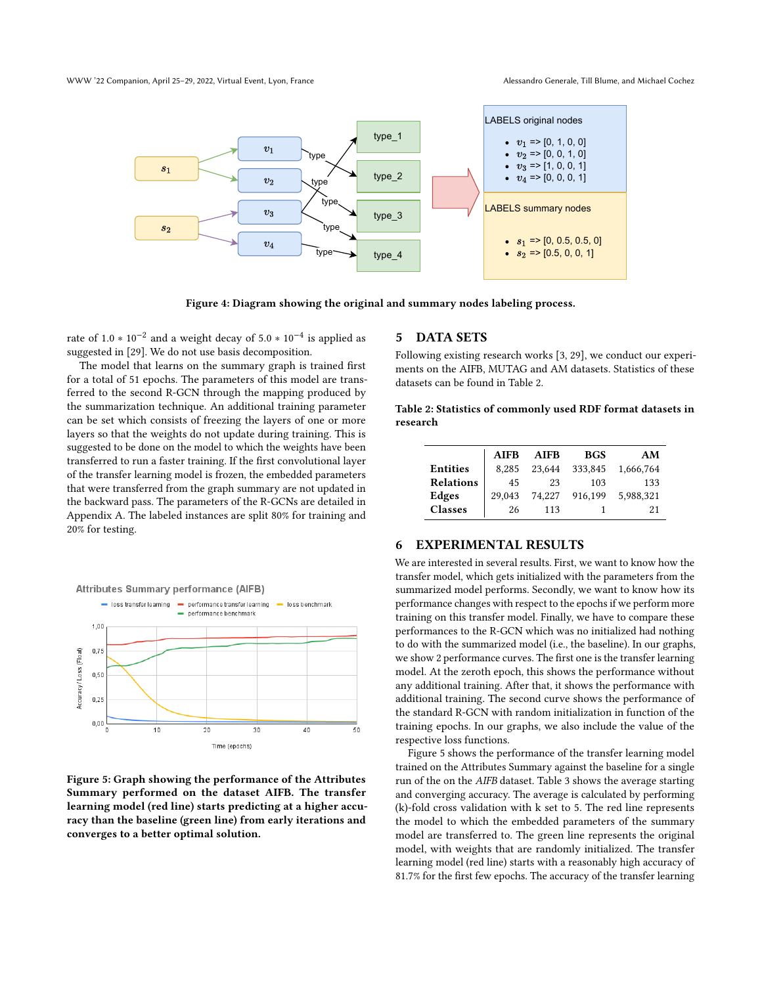<span id="page-5-0"></span>

Figure 4: Diagram showing the original and summary nodes labeling process.

rate of  $1.0 * 10^{-2}$  and a weight decay of  $5.0 * 10^{-4}$  is applied as suggested in [\[29\]](#page-7-3). We do not use basis decomposition.

The model that learns on the summary graph is trained first for a total of 51 epochs. The parameters of this model are transferred to the second R-GCN through the mapping produced by the summarization technique. An additional training parameter can be set which consists of freezing the layers of one or more layers so that the weights do not update during training. This is suggested to be done on the model to which the weights have been transferred to run a faster training. If the first convolutional layer of the transfer learning model is frozen, the embedded parameters that were transferred from the graph summary are not updated in the backward pass. The parameters of the R-GCNs are detailed in [Appendix A.](#page-8-0) The labeled instances are split 80% for training and 20% for testing.

<span id="page-5-2"></span>

Figure 5: Graph showing the performance of the Attributes Summary performed on the dataset AIFB. The transfer learning model (red line) starts predicting at a higher accuracy than the baseline (green line) from early iterations and converges to a better optimal solution.

#### 5 DATA SETS

Following existing research works [\[3,](#page-7-2) [29\]](#page-7-3), we conduct our experiments on the AIFB, MUTAG and AM datasets. Statistics of these datasets can be found in [Table 2.](#page-5-1)

<span id="page-5-1"></span>Table 2: Statistics of commonly used RDF format datasets in research

|                  | <b>AIFB</b> | <b>AIFB</b> | <b>BGS</b> | AM        |
|------------------|-------------|-------------|------------|-----------|
| <b>Entities</b>  | 8.285       | 23.644      | 333.845    | 1.666.764 |
| <b>Relations</b> | 45          | 23          | 103        | 133       |
| Edges            | 29,043      | 74.227      | 916.199    | 5.988.321 |
| <b>Classes</b>   | 26          | 113         |            | 21        |

#### 6 EXPERIMENTAL RESULTS

We are interested in several results. First, we want to know how the transfer model, which gets initialized with the parameters from the summarized model performs. Secondly, we want to know how its performance changes with respect to the epochs if we perform more training on this transfer model. Finally, we have to compare these performances to the R-GCN which was no initialized had nothing to do with the summarized model (i.e., the baseline). In our graphs, we show 2 performance curves. The first one is the transfer learning model. At the zeroth epoch, this shows the performance without any additional training. After that, it shows the performance with additional training. The second curve shows the performance of the standard R-GCN with random initialization in function of the training epochs. In our graphs, we also include the value of the respective loss functions.

[Figure 5](#page-5-2) shows the performance of the transfer learning model trained on the Attributes Summary against the baseline for a single run of the on the AIFB dataset. [Table 3](#page-6-0) shows the average starting and converging accuracy. The average is calculated by performing (k)-fold cross validation with k set to 5. The red line represents the model to which the embedded parameters of the summary model are transferred to. The green line represents the original model, with weights that are randomly initialized. The transfer learning model (red line) starts with a reasonably high accuracy of 81.7% for the first few epochs. The accuracy of the transfer learning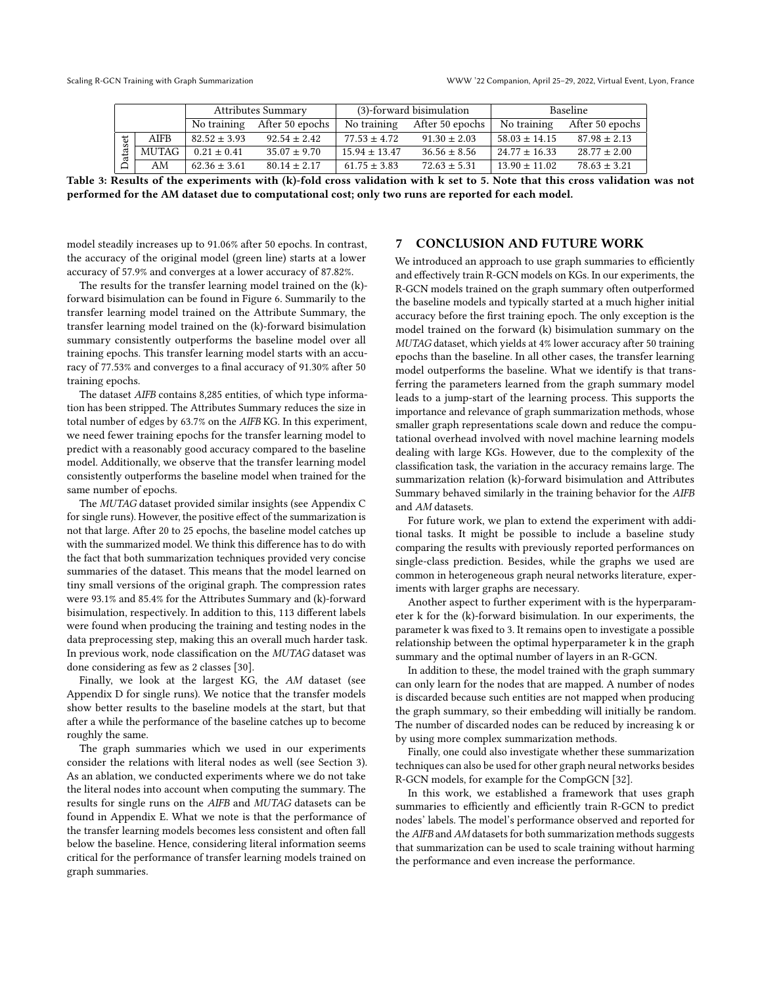<span id="page-6-0"></span>

|               |             |                  | <b>Attributes Summary</b> | (3)-forward bisimulation |                  | <b>Baseline</b>   |                  |
|---------------|-------------|------------------|---------------------------|--------------------------|------------------|-------------------|------------------|
|               |             | No training      | After 50 epochs           | No training              | After 50 epochs  | No training       | After 50 epochs  |
| ttaset<br>്ദ് | <b>AIFB</b> | $82.52 \pm 3.93$ | $92.54 \pm 2.42$          | $77.53 \pm 4.72$         | $91.30 \pm 2.03$ | $58.03 \pm 14.15$ | $87.98 \pm 2.13$ |
|               | MUTAG       | $0.21 \pm 0.41$  | $35.07 \pm 9.70$          | $15.94 \pm 13.47$        | $36.56 \pm 8.56$ | $24.77 \pm 16.33$ | $28.77 \pm 2.00$ |
|               | AM          | $62.36 \pm 3.61$ | $80.14 \pm 2.17$          | $61.75 \pm 3.83$         | $72.63 \pm 5.31$ | $13.90 \pm 11.02$ | $78.63 \pm 3.21$ |

Table 3: Results of the experiments with (k)-fold cross validation with k set to 5. Note that this cross validation was not performed for the AM dataset due to computational cost; only two runs are reported for each model.

model steadily increases up to 91.06% after 50 epochs. In contrast, the accuracy of the original model (green line) starts at a lower accuracy of 57.9% and converges at a lower accuracy of 87.82%.

The results for the transfer learning model trained on the (k) forward bisimulation can be found in [Figure 6.](#page-8-1) Summarily to the transfer learning model trained on the Attribute Summary, the transfer learning model trained on the (k)-forward bisimulation summary consistently outperforms the baseline model over all training epochs. This transfer learning model starts with an accuracy of 77.53% and converges to a final accuracy of 91.30% after 50 training epochs.

The dataset AIFB contains 8,285 entities, of which type information has been stripped. The Attributes Summary reduces the size in total number of edges by 63.7% on the AIFB KG. In this experiment, we need fewer training epochs for the transfer learning model to predict with a reasonably good accuracy compared to the baseline model. Additionally, we observe that the transfer learning model consistently outperforms the baseline model when trained for the same number of epochs.

The MUTAG dataset provided similar insights (see [Appendix C](#page-8-2) for single runs). However, the positive effect of the summarization is not that large. After 20 to 25 epochs, the baseline model catches up with the summarized model. We think this difference has to do with the fact that both summarization techniques provided very concise summaries of the dataset. This means that the model learned on tiny small versions of the original graph. The compression rates were 93.1% and 85.4% for the Attributes Summary and (k)-forward bisimulation, respectively. In addition to this, 113 different labels were found when producing the training and testing nodes in the data preprocessing step, making this an overall much harder task. In previous work, node classification on the MUTAG dataset was done considering as few as 2 classes [\[30\]](#page-7-8).

Finally, we look at the largest KG, the AM dataset (see [Appendix D](#page-8-3) for single runs). We notice that the transfer models show better results to the baseline models at the start, but that after a while the performance of the baseline catches up to become roughly the same.

The graph summaries which we used in our experiments consider the relations with literal nodes as well (see [Section 3\)](#page-1-2). As an ablation, we conducted experiments where we do not take the literal nodes into account when computing the summary. The results for single runs on the AIFB and MUTAG datasets can be found in [Appendix E.](#page-9-1) What we note is that the performance of the transfer learning models becomes less consistent and often fall below the baseline. Hence, considering literal information seems critical for the performance of transfer learning models trained on graph summaries.

#### 7 CONCLUSION AND FUTURE WORK

We introduced an approach to use graph summaries to efficiently and effectively train R-GCN models on KGs. In our experiments, the R-GCN models trained on the graph summary often outperformed the baseline models and typically started at a much higher initial accuracy before the first training epoch. The only exception is the model trained on the forward (k) bisimulation summary on the MUTAG dataset, which yields at 4% lower accuracy after 50 training epochs than the baseline. In all other cases, the transfer learning model outperforms the baseline. What we identify is that transferring the parameters learned from the graph summary model leads to a jump-start of the learning process. This supports the importance and relevance of graph summarization methods, whose smaller graph representations scale down and reduce the computational overhead involved with novel machine learning models dealing with large KGs. However, due to the complexity of the classification task, the variation in the accuracy remains large. The summarization relation (k)-forward bisimulation and Attributes Summary behaved similarly in the training behavior for the AIFB and AM datasets.

For future work, we plan to extend the experiment with additional tasks. It might be possible to include a baseline study comparing the results with previously reported performances on single-class prediction. Besides, while the graphs we used are common in heterogeneous graph neural networks literature, experiments with larger graphs are necessary.

Another aspect to further experiment with is the hyperparameter k for the (k)-forward bisimulation. In our experiments, the parameter k was fixed to 3. It remains open to investigate a possible relationship between the optimal hyperparameter k in the graph summary and the optimal number of layers in an R-GCN.

In addition to these, the model trained with the graph summary can only learn for the nodes that are mapped. A number of nodes is discarded because such entities are not mapped when producing the graph summary, so their embedding will initially be random. The number of discarded nodes can be reduced by increasing k or by using more complex summarization methods.

Finally, one could also investigate whether these summarization techniques can also be used for other graph neural networks besides R-GCN models, for example for the CompGCN [\[32\]](#page-7-31).

In this work, we established a framework that uses graph summaries to efficiently and efficiently train R-GCN to predict nodes' labels. The model's performance observed and reported for the AIFB and AM datasets for both summarization methods suggests that summarization can be used to scale training without harming the performance and even increase the performance.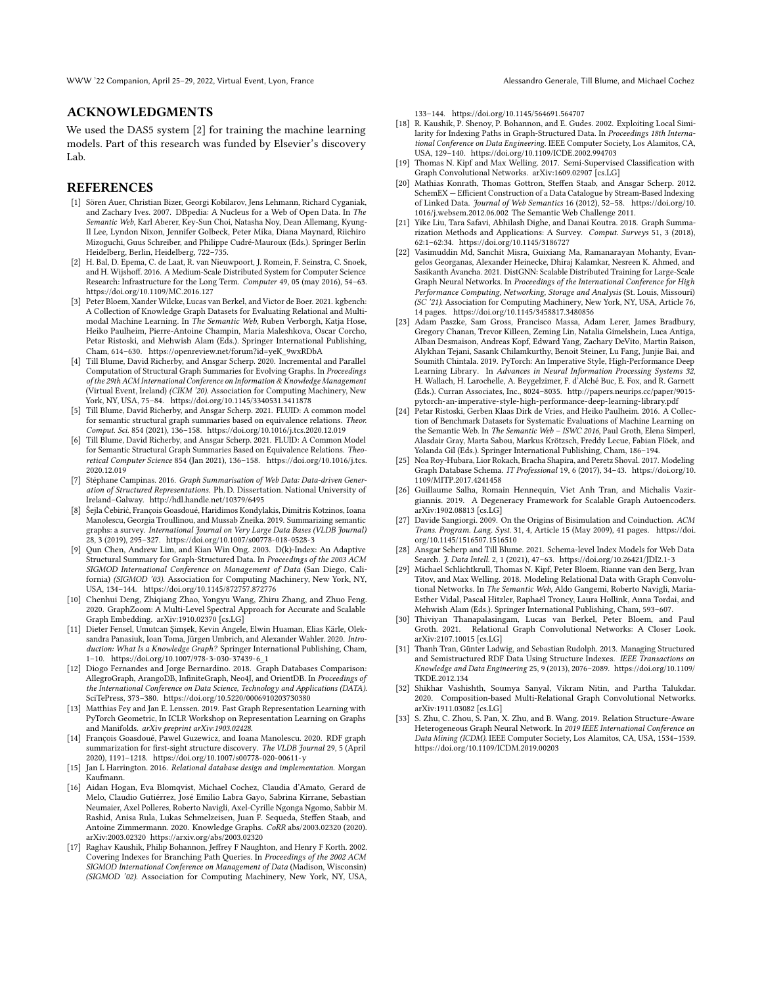WWW '22 Companion, April 25–29, 2022, Virtual Event, Lyon, France Alessandro Generale, Till Blume, and Michael Cochez

#### ACKNOWLEDGMENTS

We used the DAS5 system [\[2\]](#page-7-32) for training the machine learning models. Part of this research was funded by Elsevier's discovery Lab.

#### REFERENCES

- <span id="page-7-1"></span>[1] Sören Auer, Christian Bizer, Georgi Kobilarov, Jens Lehmann, Richard Cyganiak, and Zachary Ives. 2007. DBpedia: A Nucleus for a Web of Open Data. In The Semantic Web, Karl Aberer, Key-Sun Choi, Natasha Noy, Dean Allemang, Kyung-Il Lee, Lyndon Nixon, Jennifer Golbeck, Peter Mika, Diana Maynard, Riichiro Mizoguchi, Guus Schreiber, and Philippe Cudré-Mauroux (Eds.). Springer Berlin Heidelberg, Berlin, Heidelberg, 722–735.
- <span id="page-7-32"></span>[2] H. Bal, D. Epema, C. de Laat, R. van Nieuwpoort, J. Romein, F. Seinstra, C. Snoek, and H. Wijshoff. 2016. A Medium-Scale Distributed System for Computer Science Research: Infrastructure for the Long Term. Computer 49, 05 (may 2016), 54–63. <https://doi.org/10.1109/MC.2016.127>
- <span id="page-7-2"></span>[3] Peter Bloem, Xander Wilcke, Lucas van Berkel, and Victor de Boer. 2021. kgbench: A Collection of Knowledge Graph Datasets for Evaluating Relational and Multimodal Machine Learning. In The Semantic Web, Ruben Verborgh, Katja Hose, Heiko Paulheim, Pierre-Antoine Champin, Maria Maleshkova, Oscar Corcho, Petar Ristoski, and Mehwish Alam (Eds.). Springer International Publishing, Cham, 614–630. [https://openreview.net/forum?id=yeK\\_9wxRDbA](https://openreview.net/forum?id=yeK_9wxRDbA)
- <span id="page-7-26"></span>[4] Till Blume, David Richerby, and Ansgar Scherp. 2020. Incremental and Parallel Computation of Structural Graph Summaries for Evolving Graphs. In Proceedings of the 29th ACM International Conference on Information & Knowledge Management (Virtual Event, Ireland) (CIKM '20). Association for Computing Machinery, New York, NY, USA, 75–84.<https://doi.org/10.1145/3340531.3411878>
- <span id="page-7-17"></span>[5] Till Blume, David Richerby, and Ansgar Scherp. 2021. FLUID: A common model for semantic structural graph summaries based on equivalence relations. Theor. Comput. Sci. 854 (2021), 136–158.<https://doi.org/10.1016/j.tcs.2020.12.019>
- <span id="page-7-19"></span>[6] Till Blume, David Richerby, and Ansgar Scherp. 2021. FLUID: A Common Model for Semantic Structural Graph Summaries Based on Equivalence Relations. Theoretical Computer Science 854 (Jan 2021), 136–158. [https://doi.org/10.1016/j.tcs.](https://doi.org/10.1016/j.tcs.2020.12.019) [2020.12.019](https://doi.org/10.1016/j.tcs.2020.12.019)
- <span id="page-7-13"></span>[7] Stéphane Campinas. 2016. Graph Summarisation of Web Data: Data-driven Generation of Structured Representations. Ph. D. Dissertation. National University of Ireland–Galway.<http://hdl.handle.net/10379/6495>
- <span id="page-7-16"></span>[8] Šejla Čebirić, François Goasdoué, Haridimos Kondylakis, Dimitris Kotzinos, Ioana Manolescu, Georgia Troullinou, and Mussab Zneika. 2019. Summarizing semantic graphs: a survey. International Journal on Very Large Data Bases (VLDB Journal) 28, 3 (2019), 295–327.<https://doi.org/10.1007/s00778-018-0528-3>
- <span id="page-7-20"></span>[9] Qun Chen, Andrew Lim, and Kian Win Ong. 2003. D(k)-Index: An Adaptive Structural Summary for Graph-Structured Data. In Proceedings of the 2003 ACM SIGMOD International Conference on Management of Data (San Diego, California) (SIGMOD '03). Association for Computing Machinery, New York, NY, USA, 134–144.<https://doi.org/10.1145/872757.872776>
- <span id="page-7-7"></span>[10] Chenhui Deng, Zhiqiang Zhao, Yongyu Wang, Zhiru Zhang, and Zhuo Feng. 2020. GraphZoom: A Multi-Level Spectral Approach for Accurate and Scalable Graph Embedding. arXiv[:1910.02370](https://arxiv.org/abs/1910.02370) [cs.LG]
- <span id="page-7-0"></span>[11] Dieter Fensel, Umutcan Şimşek, Kevin Angele, Elwin Huaman, Elias Kärle, Oleksandra Panasiuk, Ioan Toma, Jürgen Umbrich, and Alexander Wahler. 2020. Introduction: What Is a Knowledge Graph? Springer International Publishing, Cham, 1–10. [https://doi.org/10.1007/978-3-030-37439-6\\_1](https://doi.org/10.1007/978-3-030-37439-6_1)
- <span id="page-7-9"></span>[12] Diogo Fernandes and Jorge Bernardino. 2018. Graph Databases Comparison: AllegroGraph, ArangoDB, InfiniteGraph, Neo4J, and OrientDB. In Proceedings of the International Conference on Data Science, Technology and Applications (DATA). SciTePress, 373–380.<https://doi.org/10.5220/0006910203730380>
- <span id="page-7-27"></span>[13] Matthias Fey and Jan E. Lenssen. 2019. Fast Graph Representation Learning with PyTorch Geometric, In ICLR Workshop on Representation Learning on Graphs and Manifolds. *arXiv preprint arXiv:1903.02428*.
- <span id="page-7-14"></span>[14] François Goasdoué, Pawel Guzewicz, and Ioana Manolescu. 2020. RDF graph summarization for first-sight structure discovery. The VLDB Journal 29, 5 (April 2020), 1191–1218.<https://doi.org/10.1007/s00778-020-00611-y>
- <span id="page-7-11"></span>[15] Jan L Harrington. 2016. Relational database design and implementation. Morgan Kaufmann.
- <span id="page-7-10"></span>[16] Aidan Hogan, Eva Blomqvist, Michael Cochez, Claudia d'Amato, Gerard de Melo, Claudio Gutiérrez, José Emilio Labra Gayo, Sabrina Kirrane, Sebastian Neumaier, Axel Polleres, Roberto Navigli, Axel-Cyrille Ngonga Ngomo, Sabbir M. Rashid, Anisa Rula, Lukas Schmelzeisen, Juan F. Sequeda, Steffen Staab, and Antoine Zimmermann. 2020. Knowledge Graphs. CoRR abs/2003.02320 (2020). arXiv[:2003.02320 https://arxiv.org/abs/2003.02320](https://arxiv.org/abs/2003.02320)
- <span id="page-7-25"></span>[17] Raghav Kaushik, Philip Bohannon, Jeffrey F Naughton, and Henry F Korth. 2002. Covering Indexes for Branching Path Queries. In Proceedings of the 2002 ACM SIGMOD International Conference on Management of Data (Madison, Wisconsin) (SIGMOD '02). Association for Computing Machinery, New York, NY, USA,

133–144.<https://doi.org/10.1145/564691.564707>

- <span id="page-7-21"></span>[18] R. Kaushik, P. Shenoy, P. Bohannon, and E. Gudes. 2002. Exploiting Local Similarity for Indexing Paths in Graph-Structured Data. In Proceedings 18th International Conference on Data Engineering. IEEE Computer Society, Los Alamitos, CA, USA, 129–140.<https://doi.org/10.1109/ICDE.2002.994703>
- <span id="page-7-30"></span>[19] Thomas N. Kipf and Max Welling. 2017. Semi-Supervised Classification with Graph Convolutional Networks. arXiv[:1609.02907](https://arxiv.org/abs/1609.02907) [cs.LG]
- <span id="page-7-23"></span>[20] Mathias Konrath, Thomas Gottron, Steffen Staab, and Ansgar Scherp. 2012. SchemEX — Efficient Construction of a Data Catalogue by Stream-Based Indexing of Linked Data. Journal of Web Semantics 16 (2012), 52–58. [https://doi.org/10.](https://doi.org/10.1016/j.websem.2012.06.002) [1016/j.websem.2012.06.002](https://doi.org/10.1016/j.websem.2012.06.002) The Semantic Web Challenge 2011.
- <span id="page-7-15"></span>[21] Yike Liu, Tara Safavi, Abhilash Dighe, and Danai Koutra. 2018. Graph Summarization Methods and Applications: A Survey. Comput. Surveys 51, 3 (2018), 62:1–62:34.<https://doi.org/10.1145/3186727>
- <span id="page-7-5"></span>[22] Vasimuddin Md, Sanchit Misra, Guixiang Ma, Ramanarayan Mohanty, Evangelos Georganas, Alexander Heinecke, Dhiraj Kalamkar, Nesreen K. Ahmed, and Sasikanth Avancha. 2021. DistGNN: Scalable Distributed Training for Large-Scale Graph Neural Networks. In Proceedings of the International Conference for High Performance Computing, Networking, Storage and Analysis (St. Louis, Missouri) (SC '21). Association for Computing Machinery, New York, NY, USA, Article 76, 14 pages.<https://doi.org/10.1145/3458817.3480856>
- <span id="page-7-29"></span>[23] Adam Paszke, Sam Gross, Francisco Massa, Adam Lerer, James Bradbury, Gregory Chanan, Trevor Killeen, Zeming Lin, Natalia Gimelshein, Luca Antiga, Alban Desmaison, Andreas Kopf, Edward Yang, Zachary DeVito, Martin Raison, Alykhan Tejani, Sasank Chilamkurthy, Benoit Steiner, Lu Fang, Junjie Bai, and Soumith Chintala. 2019. PyTorch: An Imperative Style, High-Performance Deep Learning Library. In Advances in Neural Information Processing Systems 32, H. Wallach, H. Larochelle, A. Beygelzimer, F. d'Alché Buc, E. Fox, and R. Garnett (Eds.). Curran Associates, Inc., 8024–8035. [http://papers.neurips.cc/paper/9015](http://papers.neurips.cc/paper/9015-pytorch-an-imperative-style-high-performance-deep-learning-library.pdf) [pytorch-an-imperative-style-high-performance-deep-learning-library.pdf](http://papers.neurips.cc/paper/9015-pytorch-an-imperative-style-high-performance-deep-learning-library.pdf)
- <span id="page-7-4"></span>[24] Petar Ristoski, Gerben Klaas Dirk de Vries, and Heiko Paulheim. 2016. A Collection of Benchmark Datasets for Systematic Evaluations of Machine Learning on the Semantic Web. In The Semantic Web - ISWC 2016, Paul Groth, Elena Simperl, Alasdair Gray, Marta Sabou, Markus Krötzsch, Freddy Lecue, Fabian Flöck, and Yolanda Gil (Eds.). Springer International Publishing, Cham, 186–194.
- <span id="page-7-12"></span>[25] Noa Roy-Hubara, Lior Rokach, Bracha Shapira, and Peretz Shoval. 2017. Modeling Graph Database Schema. IT Professional 19, 6 (2017), 34–43. [https://doi.org/10.](https://doi.org/10.1109/MITP.2017.4241458) [1109/MITP.2017.4241458](https://doi.org/10.1109/MITP.2017.4241458)
- <span id="page-7-6"></span>[26] Guillaume Salha, Romain Hennequin, Viet Anh Tran, and Michalis Vazirgiannis. 2019. A Degeneracy Framework for Scalable Graph Autoencoders. arXiv[:1902.08813](https://arxiv.org/abs/1902.08813) [cs.LG]
- <span id="page-7-22"></span>[27] Davide Sangiorgi. 2009. On the Origins of Bisimulation and Coinduction. ACM Trans. Program. Lang. Syst. 31, 4, Article 15 (May 2009), 41 pages. [https://doi.](https://doi.org/10.1145/1516507.1516510) [org/10.1145/1516507.1516510](https://doi.org/10.1145/1516507.1516510)
- <span id="page-7-18"></span>[28] Ansgar Scherp and Till Blume. 2021. Schema-level Index Models for Web Data Search. J. Data Intell. 2, 1 (2021), 47–63.<https://doi.org/10.26421/JDI2.1-3>
- <span id="page-7-3"></span>[29] Michael Schlichtkrull, Thomas N. Kipf, Peter Bloem, Rianne van den Berg, Ivan Titov, and Max Welling. 2018. Modeling Relational Data with Graph Convolutional Networks. In The Semantic Web, Aldo Gangemi, Roberto Navigli, Maria-Esther Vidal, Pascal Hitzler, Raphaël Troncy, Laura Hollink, Anna Tordai, and Mehwish Alam (Eds.). Springer International Publishing, Cham, 593–607.
- <span id="page-7-8"></span>[30] Thiviyan Thanapalasingam, Lucas van Berkel, Peter Bloem, and Paul Groth. 2021. Relational Graph Convolutional Networks: A Closer Look. arXiv[:2107.10015](https://arxiv.org/abs/2107.10015) [cs.LG]
- <span id="page-7-24"></span>[31] Thanh Tran, Günter Ladwig, and Sebastian Rudolph. 2013. Managing Structured and Semistructured RDF Data Using Structure Indexes. IEEE Transactions on Knowledge and Data Engineering 25, 9 (2013), 2076–2089. [https://doi.org/10.1109/](https://doi.org/10.1109/TKDE.2012.134) [TKDE.2012.134](https://doi.org/10.1109/TKDE.2012.134)
- <span id="page-7-31"></span>[32] Shikhar Vashishth, Soumya Sanyal, Vikram Nitin, and Partha Talukdar. 2020. Composition-based Multi-Relational Graph Convolutional Networks. arXiv[:1911.03082](https://arxiv.org/abs/1911.03082) [cs.LG]
- <span id="page-7-28"></span>[33] S. Zhu, C. Zhou, S. Pan, X. Zhu, and B. Wang. 2019. Relation Structure-Aware Heterogeneous Graph Neural Network. In 2019 IEEE International Conference on Data Mining (ICDM). IEEE Computer Society, Los Alamitos, CA, USA, 1534–1539. <https://doi.org/10.1109/ICDM.2019.00203>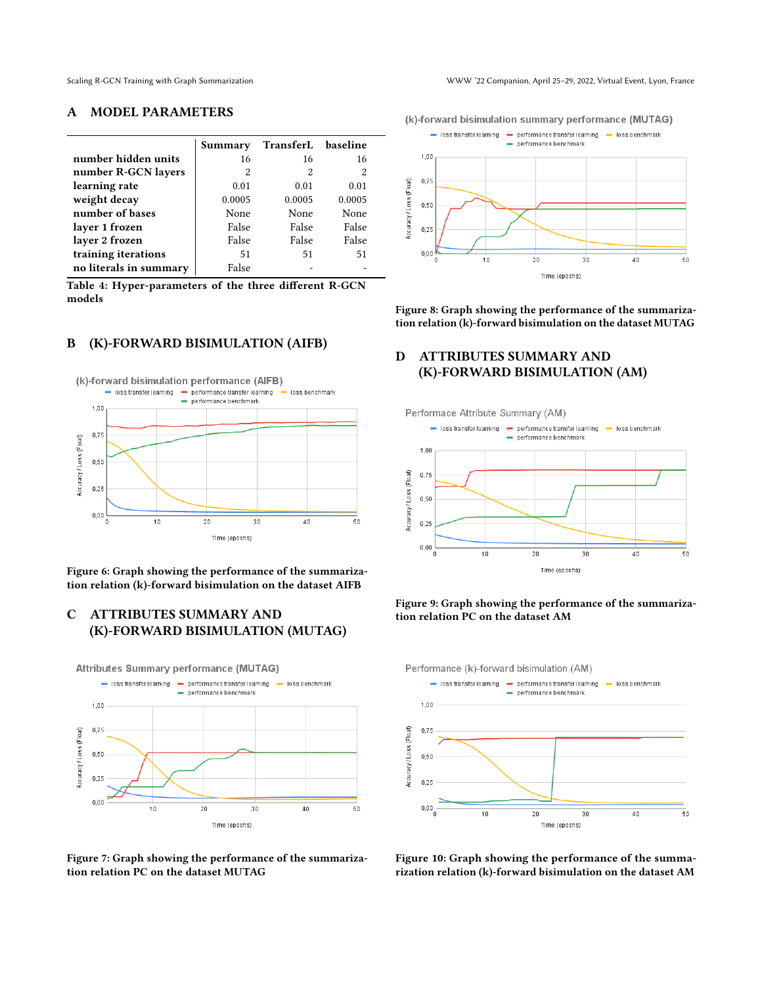# <span id="page-8-0"></span>A MODEL PARAMETERS

|                        | Summary | TransferL baseline |        |
|------------------------|---------|--------------------|--------|
| number hidden units    | 16      | 16                 | 16     |
| number R-GCN layers    | 2       | 2                  | 2      |
| learning rate          | 0.01    | 0.01               | 0.01   |
| weight decay           | 0.0005  | 0.0005             | 0.0005 |
| number of bases        | None    | None               | None   |
| layer 1 frozen         | False   | False              | False  |
| layer 2 frozen         | False   | False              | False  |
| training iterations    | 51      | 51                 | 51     |
| no literals in summary | False   |                    |        |

Table 4: Hyper-parameters of the three different R-GCN models

# B (K)-FORWARD BISIMULATION (AIFB)

<span id="page-8-1"></span>

Figure 6: Graph showing the performance of the summarization relation (k)-forward bisimulation on the dataset AIFB

# <span id="page-8-2"></span>C ATTRIBUTES SUMMARY AND (K)-FORWARD BISIMULATION (MUTAG)

**Attributes Summary performance (MUTAG)** 



Figure 7: Graph showing the performance of the summarization relation PC on the dataset MUTAG





Figure 8: Graph showing the performance of the summarization relation (k)-forward bisimulation on the dataset MUTAG

# <span id="page-8-3"></span>D ATTRIBUTES SUMMARY AND (K)-FORWARD BISIMULATION (AM)









Figure 10: Graph showing the performance of the summarization relation (k)-forward bisimulation on the dataset AM